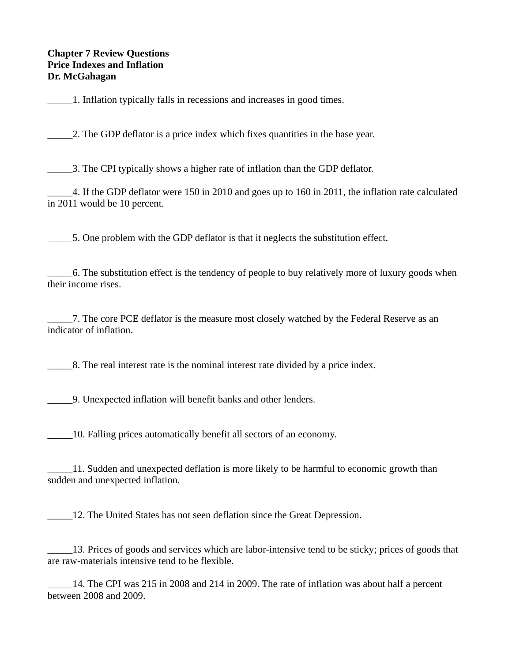## **Chapter 7 Review Questions Price Indexes and Inflation Dr. McGahagan**

\_\_\_\_\_1. Inflation typically falls in recessions and increases in good times.

\_\_\_\_\_2. The GDP deflator is a price index which fixes quantities in the base year.

\_\_\_\_\_3. The CPI typically shows a higher rate of inflation than the GDP deflator.

\_\_\_\_\_4. If the GDP deflator were 150 in 2010 and goes up to 160 in 2011, the inflation rate calculated in 2011 would be 10 percent.

\_\_\_\_\_5. One problem with the GDP deflator is that it neglects the substitution effect.

\_\_\_\_\_6. The substitution effect is the tendency of people to buy relatively more of luxury goods when their income rises.

\_\_\_\_\_7. The core PCE deflator is the measure most closely watched by the Federal Reserve as an indicator of inflation.

8. The real interest rate is the nominal interest rate divided by a price index.

\_\_\_\_\_9. Unexpected inflation will benefit banks and other lenders.

\_\_\_\_\_10. Falling prices automatically benefit all sectors of an economy.

\_\_\_\_\_11. Sudden and unexpected deflation is more likely to be harmful to economic growth than sudden and unexpected inflation.

\_\_\_\_\_12. The United States has not seen deflation since the Great Depression.

\_\_\_\_\_13. Prices of goods and services which are labor-intensive tend to be sticky; prices of goods that are raw-materials intensive tend to be flexible.

\_\_\_\_\_14. The CPI was 215 in 2008 and 214 in 2009. The rate of inflation was about half a percent between 2008 and 2009.